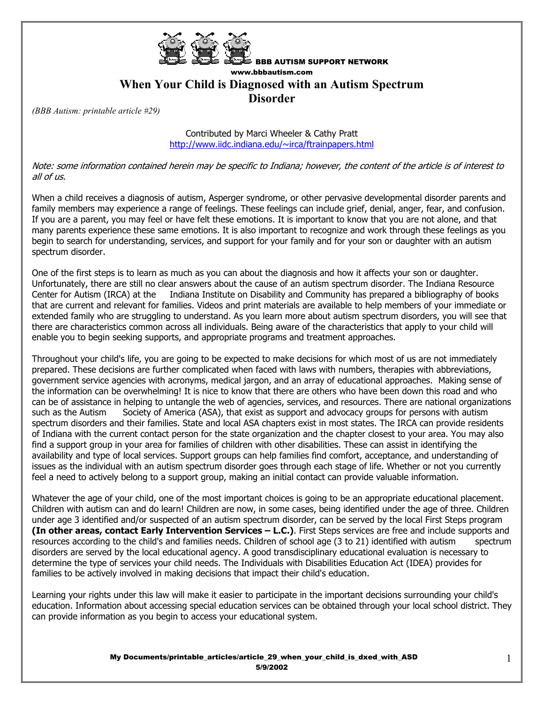

## BBB AUTISM SUPPORT NETWORK www.bbbautism.com **When Your Child is Diagnosed with an Autism Spectrum Disorder**

*(BBB Autism: printable article #29)* 

Contributed by Marci Wheeler & Cathy Pratt http://www.iidc.indiana.edu/~irca/ftrainpapers.html

Note: some information contained herein may be specific to Indiana; however, the content of the article is of interest to all of us.

When a child receives a diagnosis of autism, Asperger syndrome, or other pervasive developmental disorder parents and family members may experience a range of feelings. These feelings can include grief, denial, anger, fear, and confusion. If you are a parent, you may feel or have felt these emotions. It is important to know that you are not alone, and that many parents experience these same emotions. It is also important to recognize and work through these feelings as you begin to search for understanding, services, and support for your family and for your son or daughter with an autism spectrum disorder.

One of the first steps is to learn as much as you can about the diagnosis and how it affects your son or daughter. Unfortunately, there are still no clear answers about the cause of an autism spectrum disorder. The Indiana Resource Center for Autism (IRCA) at the Indiana Institute on Disability and Community has prepared a bibliography of books that are current and relevant for families. Videos and print materials are available to help members of your immediate or extended family who are struggling to understand. As you learn more about autism spectrum disorders, you will see that there are characteristics common across all individuals. Being aware of the characteristics that apply to your child will enable you to begin seeking supports, and appropriate programs and treatment approaches.

Throughout your child's life, you are going to be expected to make decisions for which most of us are not immediately prepared. These decisions are further complicated when faced with laws with numbers, therapies with abbreviations, government service agencies with acronyms, medical jargon, and an array of educational approaches. Making sense of the information can be overwhelming! It is nice to know that there are others who have been down this road and who can be of assistance in helping to untangle the web of agencies, services, and resources. There are national organizations such as the Autism Society of America (ASA), that exist as support and advocacy groups for persons with autism spectrum disorders and their families. State and local ASA chapters exist in most states. The IRCA can provide residents of Indiana with the current contact person for the state organization and the chapter closest to your area. You may also find a support group in your area for families of children with other disabilities. These can assist in identifying the availability and type of local services. Support groups can help families find comfort, acceptance, and understanding of issues as the individual with an autism spectrum disorder goes through each stage of life. Whether or not you currently feel a need to actively belong to a support group, making an initial contact can provide valuable information.

Whatever the age of your child, one of the most important choices is going to be an appropriate educational placement. Children with autism can and do learn! Children are now, in some cases, being identified under the age of three. Children under age 3 identified and/or suspected of an autism spectrum disorder, can be served by the local First Steps program **(In other areas, contact Early Intervention Services – L.C.)**. First Steps services are free and include supports and resources according to the child's and families needs. Children of school age (3 to 21) identified with autism spectrum disorders are served by the local educational agency. A good transdisciplinary educational evaluation is necessary to determine the type of services your child needs. The Individuals with Disabilities Education Act (IDEA) provides for families to be actively involved in making decisions that impact their child's education.

Learning your rights under this law will make it easier to participate in the important decisions surrounding your child's education. Information about accessing special education services can be obtained through your local school district. They can provide information as you begin to access your educational system.